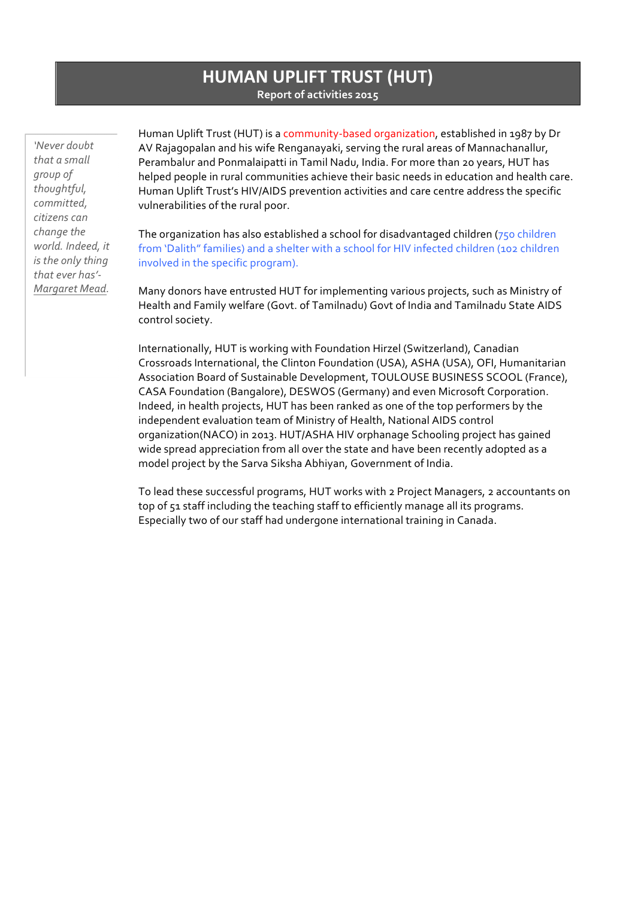# **HUMAN UPLIFT TRUST (HUT) Report of activities 2015**

*'Never doubt*  that a small *group of thoughtful, committed, citizens can change the*  world. Indeed, it *is the only thing that ever has'- Margaret Mead.* 

Human Uplift Trust (HUT) is a community-based organization, established in 1987 by Dr AV Rajagopalan and his wife Renganayaki, serving the rural areas of Mannachanallur, Perambalur and Ponmalaipatti in Tamil Nadu, India. For more than 20 years, HUT has helped people in rural communities achieve their basic needs in education and health care. Human Uplift Trust's HIV/AIDS prevention activities and care centre address the specific vulnerabilities of the rural poor.

The organization has also established a school for disadvantaged children  $(750$  children from 'Dalith" families) and a shelter with a school for HIV infected children (102 children involved in the specific program).

Many donors have entrusted HUT for implementing various projects, such as Ministry of Health and Family welfare (Govt. of Tamilnadu) Govt of India and Tamilnadu State AIDS control society.

Internationally, HUT is working with Foundation Hirzel (Switzerland), Canadian Crossroads International, the Clinton Foundation (USA), ASHA (USA), OFI, Humanitarian Association Board of Sustainable Development, TOULOUSE BUSINESS SCOOL (France), CASA Foundation (Bangalore), DESWOS (Germany) and even Microsoft Corporation. Indeed, in health projects, HUT has been ranked as one of the top performers by the independent evaluation team of Ministry of Health, National AIDS control organization(NACO) in 2013. HUT/ASHA HIV orphanage Schooling project has gained wide spread appreciation from all over the state and have been recently adopted as a model project by the Sarva Siksha Abhiyan, Government of India.

To lead these successful programs, HUT works with 2 Project Managers, 2 accountants on top of 51 staff including the teaching staff to efficiently manage all its programs. Especially two of our staff had undergone international training in Canada.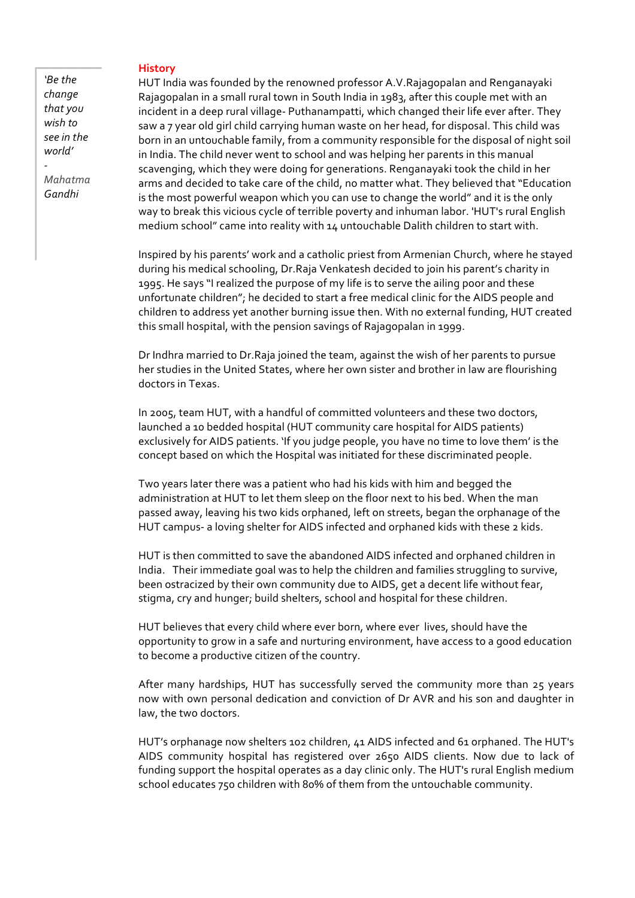#### **History**

*'Be the change that you wish to see in the world'*

*Mahatma Gandhi*

*-*

HUT India was founded by the renowned professor A.V.Rajagopalan and Renganayaki Rajagopalan in a small rural town in South India in 1983, after this couple met with an incident in a deep rural village- Puthanampatti, which changed their life ever after. They saw a 7 year old girl child carrying human waste on her head, for disposal. This child was born in an untouchable family, from a community responsible for the disposal of night soil in India. The child never went to school and was helping her parents in this manual scavenging, which they were doing for generations. Renganayaki took the child in her arms and decided to take care of the child, no matter what. They believed that "Education is the most powerful weapon which you can use to change the world" and it is the only way to break this vicious cycle of terrible poverty and inhuman labor. 'HUT's rural English medium school" came into reality with 14 untouchable Dalith children to start with.

Inspired by his parents' work and a catholic priest from Armenian Church, where he stayed during his medical schooling, Dr.Raja Venkatesh decided to join his parent's charity in 1995. He says "I realized the purpose of my life is to serve the ailing poor and these unfortunate children"; he decided to start a free medical clinic for the AIDS people and children to address yet another burning issue then. With no external funding, HUT created this small hospital, with the pension savings of Rajagopalan in 1999.

Dr Indhra married to Dr.Raja joined the team, against the wish of her parents to pursue her studies in the United States, where her own sister and brother in law are flourishing doctors in Texas.

In 2005, team HUT, with a handful of committed volunteers and these two doctors, launched a 10 bedded hospital (HUT community care hospital for AIDS patients) exclusively for AIDS patients. 'If you judge people, you have no time to love them' is the concept based on which the Hospital was initiated for these discriminated people.

Two years later there was a patient who had his kids with him and begged the administration at HUT to let them sleep on the floor next to his bed. When the man passed away, leaving his two kids orphaned, left on streets, began the orphanage of the HUT campus- a loving shelter for AIDS infected and orphaned kids with these 2 kids.

HUT is then committed to save the abandoned AIDS infected and orphaned children in India. Their immediate goal was to help the children and families struggling to survive, been ostracized by their own community due to AIDS, get a decent life without fear, stigma, cry and hunger; build shelters, school and hospital for these children.

HUT believes that every child where ever born, where ever lives, should have the opportunity to grow in a safe and nurturing environment, have access to a good education to become a productive citizen of the country.

After many hardships, HUT has successfully served the community more than  $25$  years now with own personal dedication and conviction of Dr AVR and his son and daughter in law, the two doctors.

HUT's orphanage now shelters 102 children, 41 AIDS infected and 61 orphaned. The HUT's AIDS community hospital has registered over 2650 AIDS clients. Now due to lack of funding support the hospital operates as a day clinic only. The HUT's rural English medium school educates 750 children with 80% of them from the untouchable community.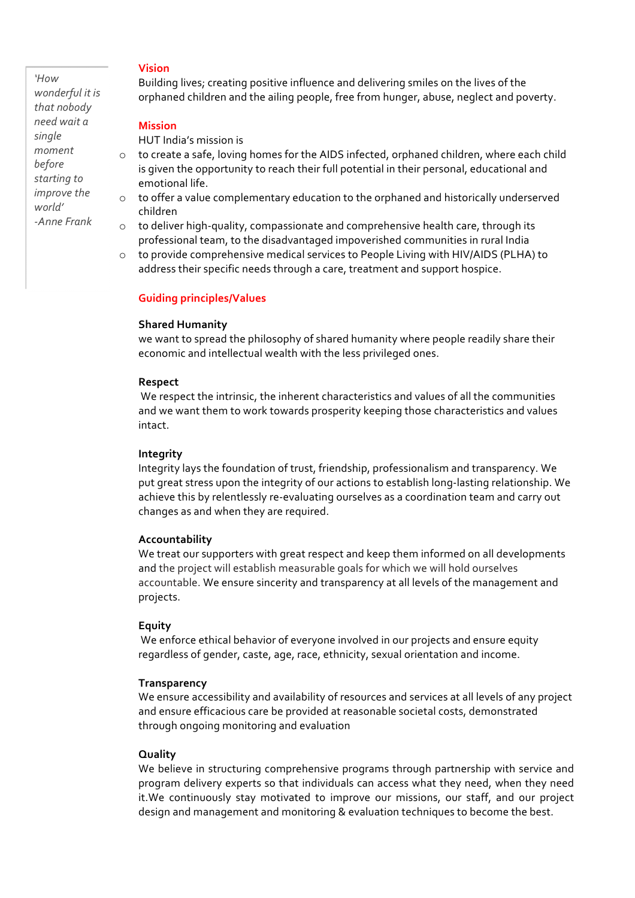*'How*  wonderful it is *that nobody need wait a single moment before starting to improve* the *world' -Anne Frank* 

#### **Vision**

Building lives; creating positive influence and delivering smiles on the lives of the orphaned children and the ailing people, free from hunger, abuse, neglect and poverty.

#### **Mission**

HUT India's mission is

- o to create a safe, loving homes for the AIDS infected, orphaned children, where each child is given the opportunity to reach their full potential in their personal, educational and emotional life.
- o to offer a value complementary education to the orphaned and historically underserved children
- $\circ$  to deliver high-quality, compassionate and comprehensive health care, through its professional team, to the disadvantaged impoverished communities in rural India
- $\circ$  to provide comprehensive medical services to People Living with HIV/AIDS (PLHA) to address their specific needs through a care, treatment and support hospice.

#### **Guiding principles/Values**

#### **Shared Humanity**

we want to spread the philosophy of shared humanity where people readily share their economic and intellectual wealth with the less privileged ones.

#### **Respect**

We respect the intrinsic, the inherent characteristics and values of all the communities and we want them to work towards prosperity keeping those characteristics and values intact.

#### **Integrity**

Integrity lays the foundation of trust, friendship, professionalism and transparency. We put great stress upon the integrity of our actions to establish long-lasting relationship. We achieve this by relentlessly re-evaluating ourselves as a coordination team and carry out changes as and when they are required.

#### **Accountability**

We treat our supporters with great respect and keep them informed on all developments and the project will establish measurable goals for which we will hold ourselves accountable. We ensure sincerity and transparency at all levels of the management and projects.

#### **Equity**

We enforce ethical behavior of everyone involved in our projects and ensure equity regardless of gender, caste, age, race, ethnicity, sexual orientation and income.

#### **Transparency**

We ensure accessibility and availability of resources and services at all levels of any project and ensure efficacious care be provided at reasonable societal costs, demonstrated through ongoing monitoring and evaluation

# **Quality**

We believe in structuring comprehensive programs through partnership with service and program delivery experts so that individuals can access what they need, when they need it. We continuously stay motivated to improve our missions, our staff, and our project design and management and monitoring & evaluation techniques to become the best.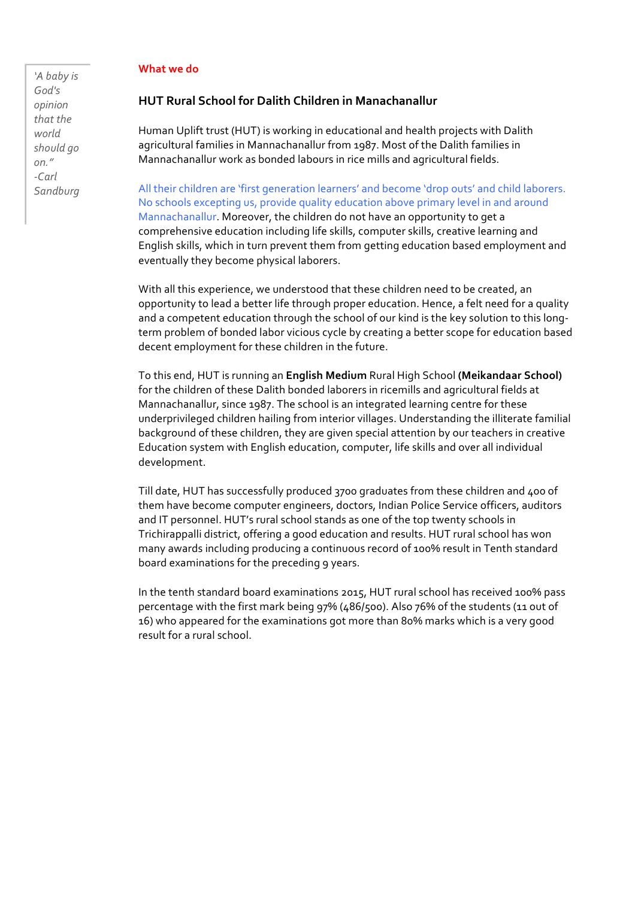#### **What** we do

*'A baby is God's opinion that the world should go on." -Carl Sandburg* 

# **HUT Rural School for Dalith Children in Manachanallur**

Human Uplift trust (HUT) is working in educational and health projects with Dalith agricultural families in Mannachanallur from 1987. Most of the Dalith families in Mannachanallur work as bonded labours in rice mills and agricultural fields.

All their children are 'first generation learners' and become 'drop outs' and child laborers. No schools excepting us, provide quality education above primary level in and around Mannachanallur. Moreover, the children do not have an opportunity to get a comprehensive education including life skills, computer skills, creative learning and English skills, which in turn prevent them from getting education based employment and eventually they become physical laborers.

With all this experience, we understood that these children need to be created, an opportunity to lead a better life through proper education. Hence, a felt need for a quality and a competent education through the school of our kind is the key solution to this longterm problem of bonded labor vicious cycle by creating a better scope for education based decent employment for these children in the future.

To this end, HUT is running an **English Medium** Rural High School (Meikandaar School) for the children of these Dalith bonded laborers in ricemills and agricultural fields at Mannachanallur, since 1987. The school is an integrated learning centre for these underprivileged children hailing from interior villages. Understanding the illiterate familial background of these children, they are given special attention by our teachers in creative Education system with English education, computer, life skills and over all individual development. 

Till date, HUT has successfully produced 3700 graduates from these children and 400 of them have become computer engineers, doctors, Indian Police Service officers, auditors and IT personnel. HUT's rural school stands as one of the top twenty schools in Trichirappalli district, offering a good education and results. HUT rural school has won many awards including producing a continuous record of 100% result in Tenth standard board examinations for the preceding 9 years.

In the tenth standard board examinations 2015, HUT rural school has received 100% pass percentage with the first mark being  $97\%$  (486/500). Also 76% of the students (11 out of 16) who appeared for the examinations got more than 80% marks which is a very good result for a rural school.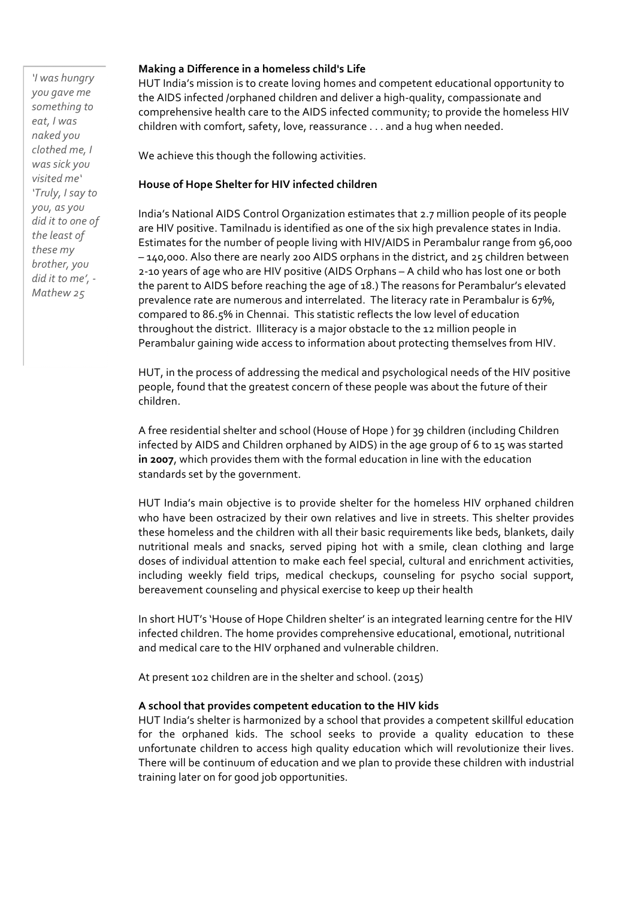*'I was hungry you gave me*  something to *eat, I was naked you clothed me, I was sick you visited me' 'Truly, I say to you, as you*  did it to one of the least of these my *brother, you did it to me', - Mathew 25*

# **Making a Difference in a homeless child's Life**

HUT India's mission is to create loving homes and competent educational opportunity to the AIDS infected /orphaned children and deliver a high-quality, compassionate and comprehensive health care to the AIDS infected community; to provide the homeless HIV children with comfort, safety, love, reassurance . . . and a hug when needed.

We achieve this though the following activities.

# **House of Hope Shelter for HIV infected children**

India's National AIDS Control Organization estimates that 2.7 million people of its people are HIV positive. Tamilnadu is identified as one of the six high prevalence states in India. Estimates for the number of people living with HIV/AIDS in Perambalur range from 96,000  $-140,000$ . Also there are nearly 200 AIDS orphans in the district, and 25 children between 2-10 years of age who are HIV positive (AIDS Orphans - A child who has lost one or both the parent to AIDS before reaching the age of 18.) The reasons for Perambalur's elevated prevalence rate are numerous and interrelated. The literacy rate in Perambalur is 67%, compared to 86.5% in Chennai. This statistic reflects the low level of education throughout the district. Illiteracy is a major obstacle to the 12 million people in Perambalur gaining wide access to information about protecting themselves from HIV.

HUT, in the process of addressing the medical and psychological needs of the HIV positive people, found that the greatest concern of these people was about the future of their children.

A free residential shelter and school (House of Hope) for 39 children (including Children infected by AIDS and Children orphaned by AIDS) in the age group of 6 to 15 was started in 2007, which provides them with the formal education in line with the education standards set by the government.

HUT India's main objective is to provide shelter for the homeless HIV orphaned children who have been ostracized by their own relatives and live in streets. This shelter provides these homeless and the children with all their basic requirements like beds, blankets, daily nutritional meals and snacks, served piping hot with a smile, clean clothing and large doses of individual attention to make each feel special, cultural and enrichment activities, including weekly field trips, medical checkups, counseling for psycho social support, bereavement counseling and physical exercise to keep up their health

In short HUT's 'House of Hope Children shelter' is an integrated learning centre for the HIV infected children. The home provides comprehensive educational, emotional, nutritional and medical care to the HIV orphaned and vulnerable children.

At present 102 children are in the shelter and school. (2015)

### A school that provides competent education to the HIV kids

HUT India's shelter is harmonized by a school that provides a competent skillful education for the orphaned kids. The school seeks to provide a quality education to these unfortunate children to access high quality education which will revolutionize their lives. There will be continuum of education and we plan to provide these children with industrial training later on for good job opportunities.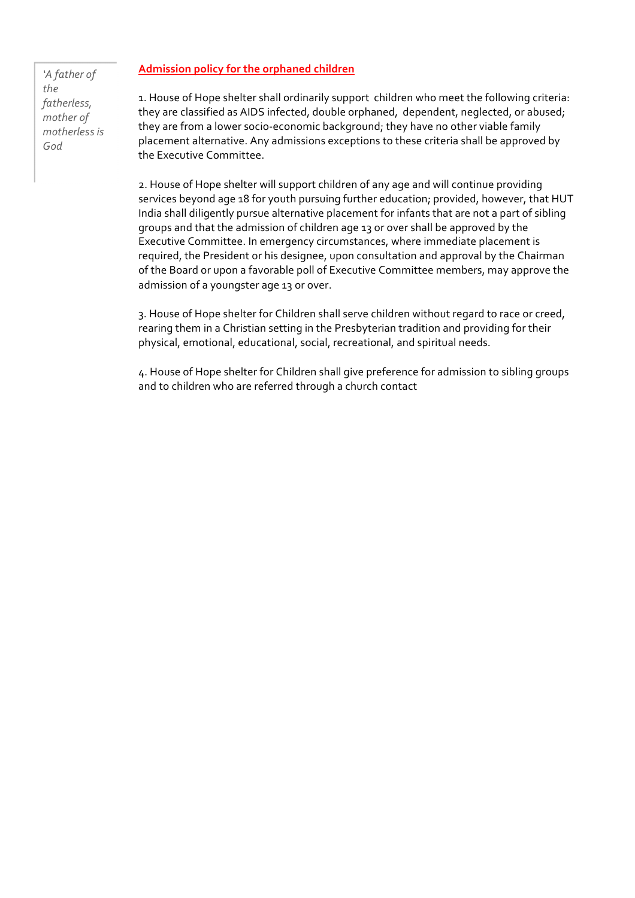# Admission policy for the orphaned children

*'A father of the fatherless, mother of motherless is God*

1. House of Hope shelter shall ordinarily support children who meet the following criteria: they are classified as AIDS infected, double orphaned, dependent, neglected, or abused; they are from a lower socio-economic background; they have no other viable family placement alternative. Any admissions exceptions to these criteria shall be approved by the Executive Committee.

2. House of Hope shelter will support children of any age and will continue providing services beyond age 18 for youth pursuing further education; provided, however, that HUT India shall diligently pursue alternative placement for infants that are not a part of sibling groups and that the admission of children age 13 or over shall be approved by the Executive Committee. In emergency circumstances, where immediate placement is required, the President or his designee, upon consultation and approval by the Chairman of the Board or upon a favorable poll of Executive Committee members, may approve the admission of a youngster age 13 or over.

3. House of Hope shelter for Children shall serve children without regard to race or creed, rearing them in a Christian setting in the Presbyterian tradition and providing for their physical, emotional, educational, social, recreational, and spiritual needs.

4. House of Hope shelter for Children shall give preference for admission to sibling groups and to children who are referred through a church contact